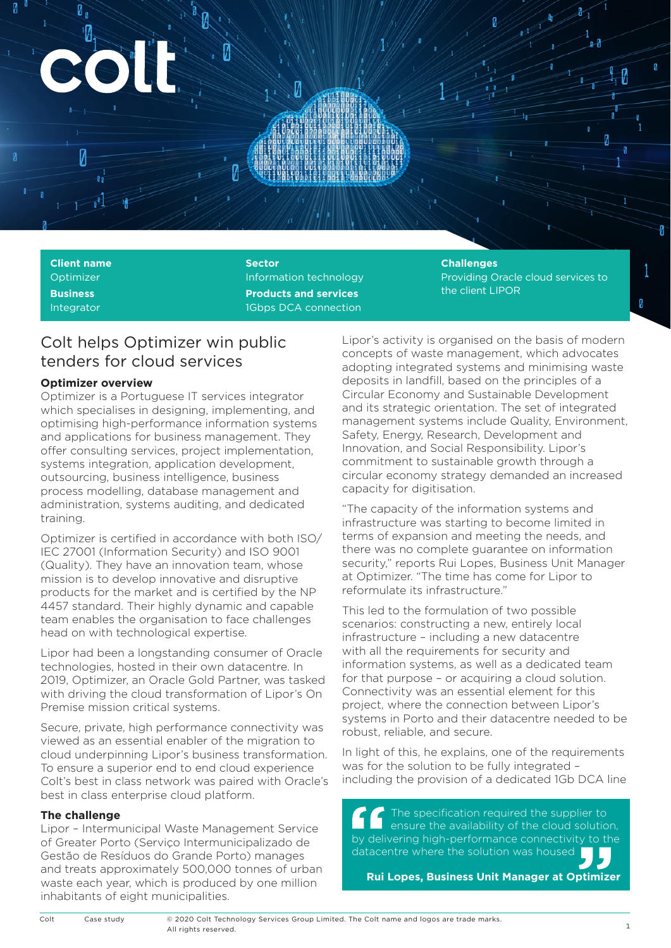

**Client name** Optimizer **Business** Integrator

**Sector** Information technology **Products and services** 1Gbps DCA connection

# **Challenges**

Providing Oracle cloud services to the client LIPOR

Ø

# Colt helps Optimizer win public tenders for cloud services

# **Optimizer overview**

Optimizer is a Portuguese IT services integrator which specialises in designing, implementing, and optimising high-performance information systems and applications for business management. They offer consulting services, project implementation, systems integration, application development, outsourcing, business intelligence, business process modelling, database management and administration, systems auditing, and dedicated training.

Optimizer is certified in accordance with both ISO/ IEC 27001 (Information Security) and ISO 9001 (Quality). They have an innovation team, whose mission is to develop innovative and disruptive products for the market and is certified by the NP 4457 standard. Their highly dynamic and capable team enables the organisation to face challenges head on with technological expertise.

Lipor had been a longstanding consumer of Oracle technologies, hosted in their own datacentre. In 2019, Optimizer, an Oracle Gold Partner, was tasked with driving the cloud transformation of Lipor's On Premise mission critical systems.

Secure, private, high performance connectivity was viewed as an essential enabler of the migration to cloud underpinning Lipor's business transformation. To ensure a superior end to end cloud experience Colt's best in class network was paired with Oracle's best in class enterprise cloud platform.

#### **The challenge**

Lipor – Intermunicipal Waste Management Service of Greater Porto (Serviço Intermunicipalizado de Gestão de Resíduos do Grande Porto) manages and treats approximately 500,000 tonnes of urban waste each year, which is produced by one million inhabitants of eight municipalities.

Lipor's activity is organised on the basis of modern concepts of waste management, which advocates adopting integrated systems and minimising waste deposits in landfill, based on the principles of a Circular Economy and Sustainable Development and its strategic orientation. The set of integrated management systems include Quality, Environment, Safety, Energy, Research, Development and Innovation, and Social Responsibility. Lipor's commitment to sustainable growth through a circular economy strategy demanded an increased capacity for digitisation.

"The capacity of the information systems and infrastructure was starting to become limited in terms of expansion and meeting the needs, and there was no complete guarantee on information security," reports Rui Lopes, Business Unit Manager at Optimizer. "The time has come for Lipor to reformulate its infrastructure."

This led to the formulation of two possible scenarios: constructing a new, entirely local infrastructure – including a new datacentre with all the requirements for security and information systems, as well as a dedicated team for that purpose – or acquiring a cloud solution. Connectivity was an essential element for this project, where the connection between Lipor's systems in Porto and their datacentre needed to be robust, reliable, and secure.

In light of this, he explains, one of the requirements was for the solution to be fully integrated – including the provision of a dedicated 1Gb DCA line

The specification required the supplier to ensure the availability of the cloud solution, by delivering high-performance connectivity to the datacentre where the solution was housed

**Rui Lopes, Business Unit Manager at Optimizer**